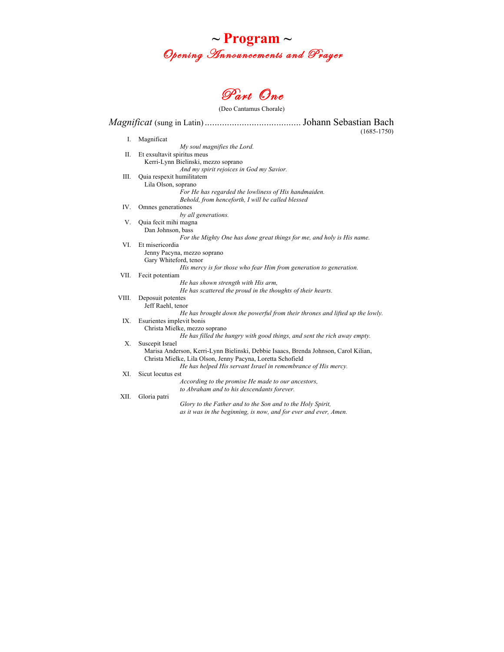



(Deo Cantamus Chorale)

*Magnificat* (sung in Latin) *.......................................*Johann Sebastian Bach (1685-1750) I. Magnificat *My soul magnifies the Lord.* II. Et exsultavit spiritus meus Kerri-Lynn Bielinski, mezzo soprano *And my spirit rejoices in God my Savior.* III. Quia respexit humilitatem Lila Olson, soprano *For He has regarded the lowliness of His handmaiden. Behold, from henceforth, I will be called blessed* IV. Omnes generationes *by all generations.* V. Quia fecit mihi magna Dan Johnson, bass *For the Mighty One has done great things for me, and holy is His name.* VI. Et misericordia Jenny Pacyna, mezzo soprano Gary Whiteford, tenor *His mercy is for those who fear Him from generation to generation.* VII. Fecit potentiam *He has shown strength with His arm, He has scattered the proud in the thoughts of their hearts.* VIII. Deposuit potentes Jeff Raehl, tenor *He has brought down the powerful from their thrones and lifted up the lowly.* IX. Esurientes implevit bonis Christa Mielke, mezzo soprano *He has filled the hungry with good things, and sent the rich away empty.* X. Suscepit Israel Marisa Anderson, Kerri-Lynn Bielinski, Debbie Isaacs, Brenda Johnson, Carol Kilian, Christa Mielke, Lila Olson, Jenny Pacyna, Loretta Schofield *He has helped His servant Israel in remembrance of His mercy.* XI. Sicut locutus est *According to the promise He made to our ancestors, to Abraham and to his descendants forever.* XII. Gloria patri *Glory to the Father and to the Son and to the Holy Spirit, as it was in the beginning, is now, and for ever and ever, Amen.*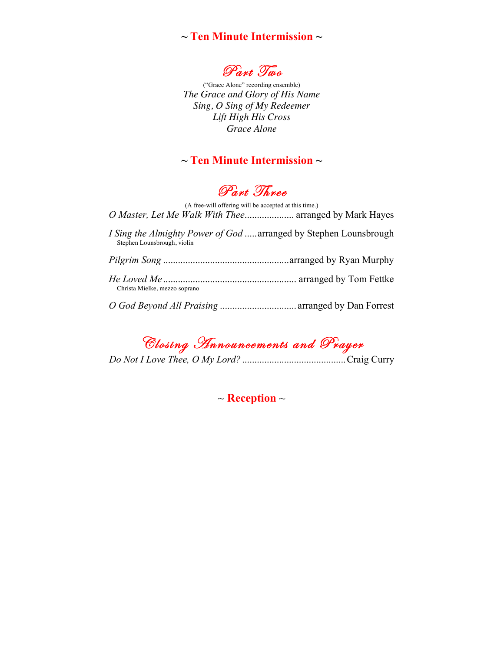## **~ Ten Minute Intermission ~**



("Grace Alone" recording ensemble) *The Grace and Glory of His Name Sing, O Sing of My Redeemer Lift High His Cross Grace Alone*

# **~ Ten Minute Intermission ~**

Part Three

(A free-will offering will be accepted at this time.) *O Master, Let Me Walk With Thee*.................... arranged by Mark Hayes *I Sing the Almighty Power of God* .....arranged by Stephen Lounsbrough Stephen Lounsbrough, violin *Pilgrim Song* ...................................................arranged by Ryan Murphy

| Christa Mielke, mezzo soprano |  |
|-------------------------------|--|
|                               |  |

*O God Beyond All Praising* ............................... arranged by Dan Forrest

Closing Announcements and Prayer

*Do Not I Love Thee, O My Lord?* ..........................................Craig Curry

~ **Reception** ~